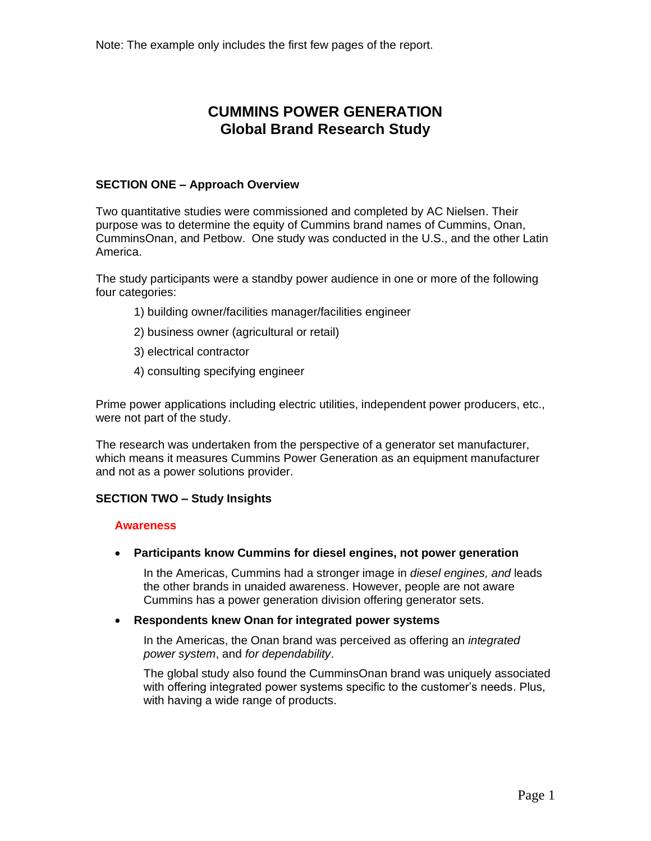# **CUMMINS POWER GENERATION Global Brand Research Study**

# **SECTION ONE – Approach Overview**

Two quantitative studies were commissioned and completed by AC Nielsen. Their purpose was to determine the equity of Cummins brand names of Cummins, Onan, CumminsOnan, and Petbow. One study was conducted in the U.S., and the other Latin America.

The study participants were a standby power audience in one or more of the following four categories:

- 1) building owner/facilities manager/facilities engineer
- 2) business owner (agricultural or retail)
- 3) electrical contractor
- 4) consulting specifying engineer

Prime power applications including electric utilities, independent power producers, etc., were not part of the study.

The research was undertaken from the perspective of a generator set manufacturer, which means it measures Cummins Power Generation as an equipment manufacturer and not as a power solutions provider.

# **SECTION TWO – Study Insights**

#### **Awareness**

• **Participants know Cummins for diesel engines, not power generation**

In the Americas, Cummins had a stronger image in *diesel engines, and* leads the other brands in unaided awareness. However, people are not aware Cummins has a power generation division offering generator sets.

# • **Respondents knew Onan for integrated power systems**

In the Americas, the Onan brand was perceived as offering an *integrated power system*, and *for dependability*.

The global study also found the CumminsOnan brand was uniquely associated with offering integrated power systems specific to the customer's needs. Plus, with having a wide range of products.